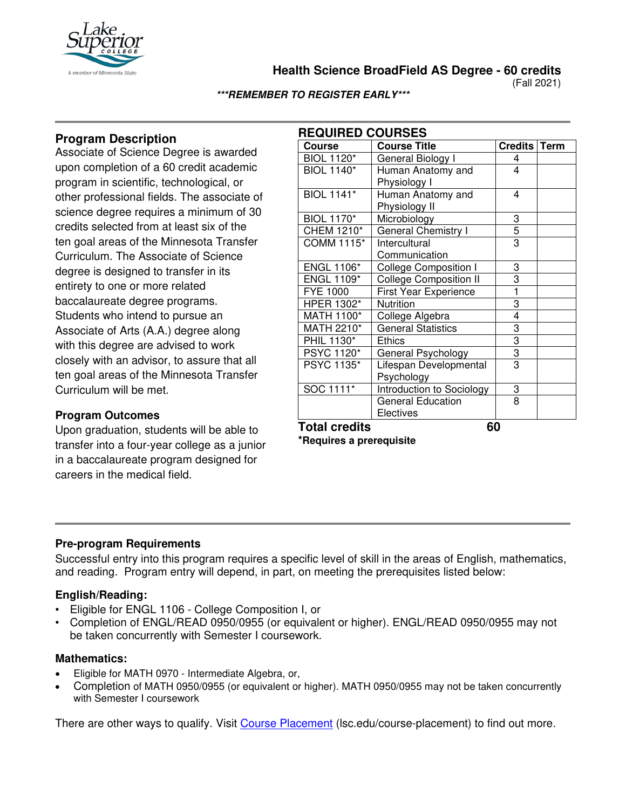

**Health Science BroadField AS Degree - 60 credits**

(Fall 2021)

**\*\*\*REMEMBER TO REGISTER EARLY\*\*\***

# **Program Description**

Associate of Science Degree is awarded upon completion of a 60 credit academic program in scientific, technological, or other professional fields. The associate of science degree requires a minimum of 30 credits selected from at least six of the ten goal areas of the Minnesota Transfer Curriculum. The Associate of Science degree is designed to transfer in its entirety to one or more related baccalaureate degree programs. Students who intend to pursue an Associate of Arts (A.A.) degree along with this degree are advised to work closely with an advisor, to assure that all ten goal areas of the Minnesota Transfer Curriculum will be met.

## **Program Outcomes**

Upon graduation, students will be able to transfer into a four-year college as a junior in a baccalaureate program designed for careers in the medical field.

| <b>REQUIRED COURSES</b><br><b>Course</b> | <b>Course Title</b>                   | <b>Credits</b> | <b>Term</b> |
|------------------------------------------|---------------------------------------|----------------|-------------|
| <b>BIOL 1120*</b>                        | General Biology I                     | 4              |             |
| <b>BIOL 1140*</b>                        | Human Anatomy and                     | 4              |             |
| <b>BIOL 1141*</b>                        | Physiology I<br>Human Anatomy and     | 4              |             |
| <b>BIOL 1170*</b>                        | Physiology II<br>Microbiology         | 3              |             |
| CHEM 1210*                               | <b>General Chemistry I</b>            | $\overline{5}$ |             |
| <b>COMM 1115*</b>                        | Intercultural<br>Communication        | $\overline{3}$ |             |
| <b>ENGL 1106*</b>                        | <b>College Composition I</b>          | 3              |             |
| <b>ENGL 1109*</b>                        | <b>College Composition II</b>         | 3              |             |
| <b>FYE 1000</b>                          | <b>First Year Experience</b>          | $\mathbf{1}$   |             |
| HPER 1302*                               | Nutrition                             | 3              |             |
| MATH 1100*                               | College Algebra                       | 4              |             |
| MATH 2210*                               | <b>General Statistics</b>             | 3              |             |
| PHIL 1130*                               | Ethics                                | $\frac{3}{3}$  |             |
| PSYC 1120*                               | General Psychology                    |                |             |
| PSYC 1135*                               | Lifespan Developmental<br>Psychology  | 3              |             |
| SOC 1111*                                | Introduction to Sociology             | 3              |             |
|                                          | <b>General Education</b><br>Electives | 8              |             |

**Total credits 60**

**\*Requires a prerequisite**

### **Pre-program Requirements**

Successful entry into this program requires a specific level of skill in the areas of English, mathematics, and reading. Program entry will depend, in part, on meeting the prerequisites listed below:

### **English/Reading:**

- Eligible for ENGL 1106 College Composition I, or
- Completion of ENGL/READ 0950/0955 (or equivalent or higher). ENGL/READ 0950/0955 may not be taken concurrently with Semester I coursework.

#### **Mathematics:**

- Eligible for MATH 0970 Intermediate Algebra, or,
- Completion of MATH 0950/0955 (or equivalent or higher). MATH 0950/0955 may not be taken concurrently with Semester I coursework

There are other ways to qualify. Visit [Course Placement](https://www.lsc.edu/course-placement/) (lsc.edu/course-placement) to find out more.